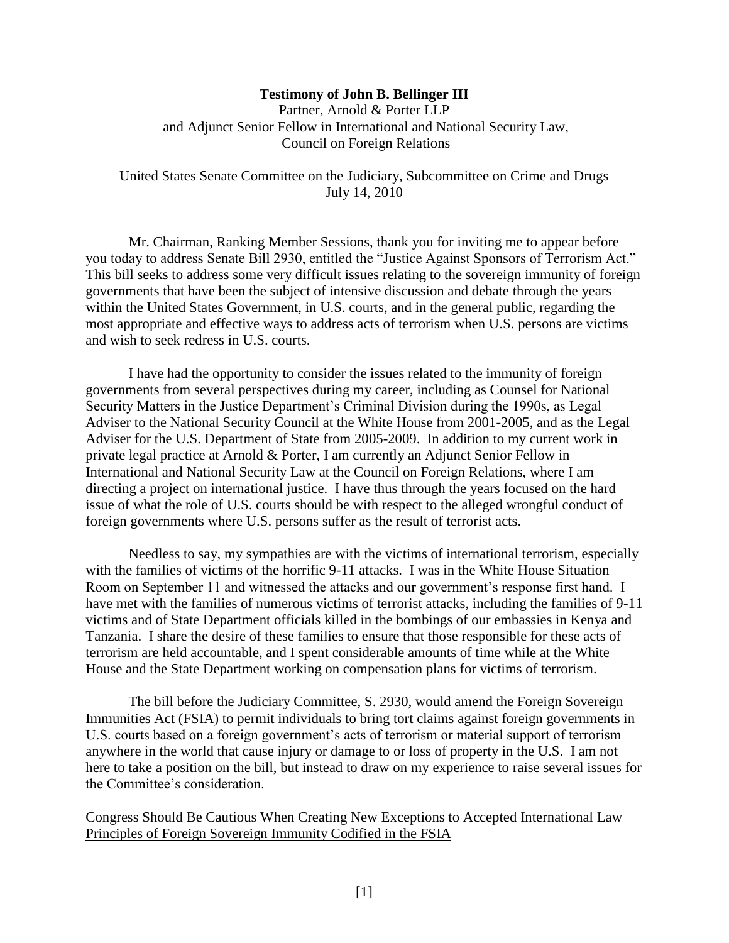## **Testimony of John B. Bellinger III**

Partner, Arnold & Porter LLP and Adjunct Senior Fellow in International and National Security Law, Council on Foreign Relations

United States Senate Committee on the Judiciary, Subcommittee on Crime and Drugs July 14, 2010

Mr. Chairman, Ranking Member Sessions, thank you for inviting me to appear before you today to address Senate Bill 2930, entitled the "Justice Against Sponsors of Terrorism Act." This bill seeks to address some very difficult issues relating to the sovereign immunity of foreign governments that have been the subject of intensive discussion and debate through the years within the United States Government, in U.S. courts, and in the general public, regarding the most appropriate and effective ways to address acts of terrorism when U.S. persons are victims and wish to seek redress in U.S. courts.

I have had the opportunity to consider the issues related to the immunity of foreign governments from several perspectives during my career, including as Counsel for National Security Matters in the Justice Department"s Criminal Division during the 1990s, as Legal Adviser to the National Security Council at the White House from 2001-2005, and as the Legal Adviser for the U.S. Department of State from 2005-2009. In addition to my current work in private legal practice at Arnold & Porter, I am currently an Adjunct Senior Fellow in International and National Security Law at the Council on Foreign Relations, where I am directing a project on international justice. I have thus through the years focused on the hard issue of what the role of U.S. courts should be with respect to the alleged wrongful conduct of foreign governments where U.S. persons suffer as the result of terrorist acts.

Needless to say, my sympathies are with the victims of international terrorism, especially with the families of victims of the horrific 9-11 attacks. I was in the White House Situation Room on September 11 and witnessed the attacks and our government's response first hand. I have met with the families of numerous victims of terrorist attacks, including the families of 9-11 victims and of State Department officials killed in the bombings of our embassies in Kenya and Tanzania. I share the desire of these families to ensure that those responsible for these acts of terrorism are held accountable, and I spent considerable amounts of time while at the White House and the State Department working on compensation plans for victims of terrorism.

The bill before the Judiciary Committee, S. 2930, would amend the Foreign Sovereign Immunities Act (FSIA) to permit individuals to bring tort claims against foreign governments in U.S. courts based on a foreign government's acts of terrorism or material support of terrorism anywhere in the world that cause injury or damage to or loss of property in the U.S. I am not here to take a position on the bill, but instead to draw on my experience to raise several issues for the Committee"s consideration.

Congress Should Be Cautious When Creating New Exceptions to Accepted International Law Principles of Foreign Sovereign Immunity Codified in the FSIA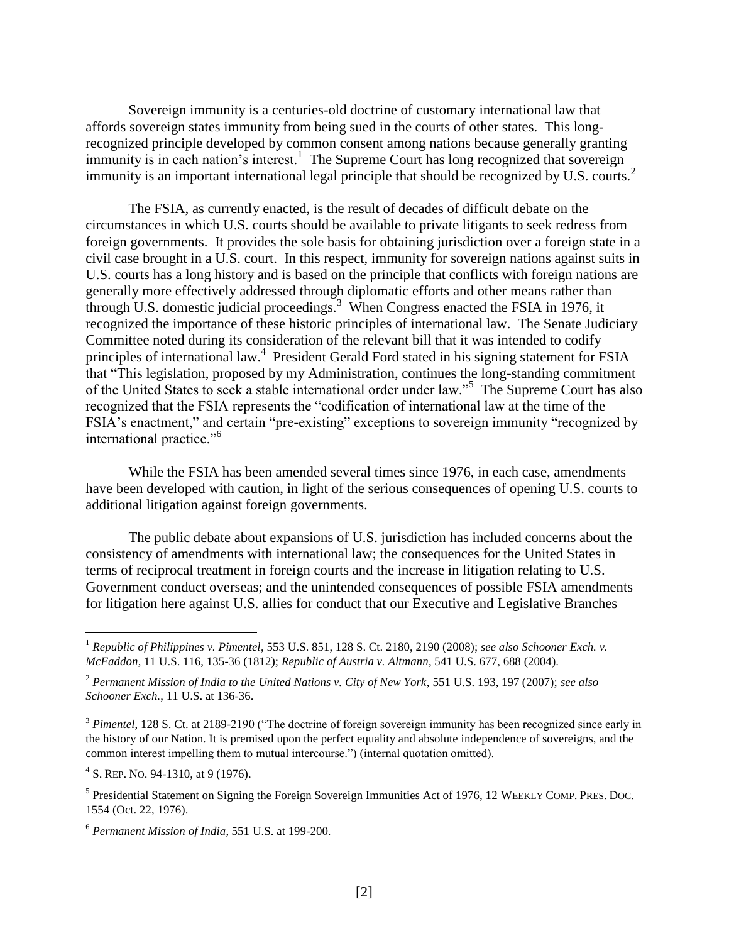Sovereign immunity is a centuries-old doctrine of customary international law that affords sovereign states immunity from being sued in the courts of other states. This longrecognized principle developed by common consent among nations because generally granting immunity is in each nation's interest.<sup>1</sup> The Supreme Court has long recognized that sovereign immunity is an important international legal principle that should be recognized by U.S. courts.<sup>2</sup>

The FSIA, as currently enacted, is the result of decades of difficult debate on the circumstances in which U.S. courts should be available to private litigants to seek redress from foreign governments. It provides the sole basis for obtaining jurisdiction over a foreign state in a civil case brought in a U.S. court. In this respect, immunity for sovereign nations against suits in U.S. courts has a long history and is based on the principle that conflicts with foreign nations are generally more effectively addressed through diplomatic efforts and other means rather than through U.S. domestic judicial proceedings.<sup>3</sup> When Congress enacted the FSIA in 1976, it recognized the importance of these historic principles of international law. The Senate Judiciary Committee noted during its consideration of the relevant bill that it was intended to codify principles of international law.<sup>4</sup> President Gerald Ford stated in his signing statement for FSIA that "This legislation, proposed by my Administration, continues the long-standing commitment of the United States to seek a stable international order under law."<sup>5</sup> The Supreme Court has also recognized that the FSIA represents the "codification of international law at the time of the FSIA's enactment," and certain "pre-existing" exceptions to sovereign immunity "recognized by international practice."<sup>6</sup>

While the FSIA has been amended several times since 1976, in each case, amendments have been developed with caution, in light of the serious consequences of opening U.S. courts to additional litigation against foreign governments.

The public debate about expansions of U.S. jurisdiction has included concerns about the consistency of amendments with international law; the consequences for the United States in terms of reciprocal treatment in foreign courts and the increase in litigation relating to U.S. Government conduct overseas; and the unintended consequences of possible FSIA amendments for litigation here against U.S. allies for conduct that our Executive and Legislative Branches

<sup>1</sup> *Republic of Philippines v. Pimentel*, 553 U.S. 851, 128 S. Ct. 2180, 2190 (2008); *see also Schooner Exch. v. McFaddon*, 11 U.S. 116, 135-36 (1812); *Republic of Austria v. Altmann*, 541 U.S. 677, 688 (2004).

<sup>2</sup> *Permanent Mission of India to the United Nations v. City of New York*, 551 U.S. 193, 197 (2007); *see also Schooner Exch.*, 11 U.S. at 136-36.

<sup>&</sup>lt;sup>3</sup> *Pimentel*, 128 S. Ct. at 2189-2190 ("The doctrine of foreign sovereign immunity has been recognized since early in the history of our Nation. It is premised upon the perfect equality and absolute independence of sovereigns, and the common interest impelling them to mutual intercourse.") (internal quotation omitted).

<sup>&</sup>lt;sup>4</sup> S. REP. No. 94-1310, at 9 (1976).

<sup>&</sup>lt;sup>5</sup> Presidential Statement on Signing the Foreign Sovereign Immunities Act of 1976, 12 WEEKLY COMP. PRES. DOC. 1554 (Oct. 22, 1976).

<sup>6</sup> *Permanent Mission of India*, 551 U.S. at 199-200.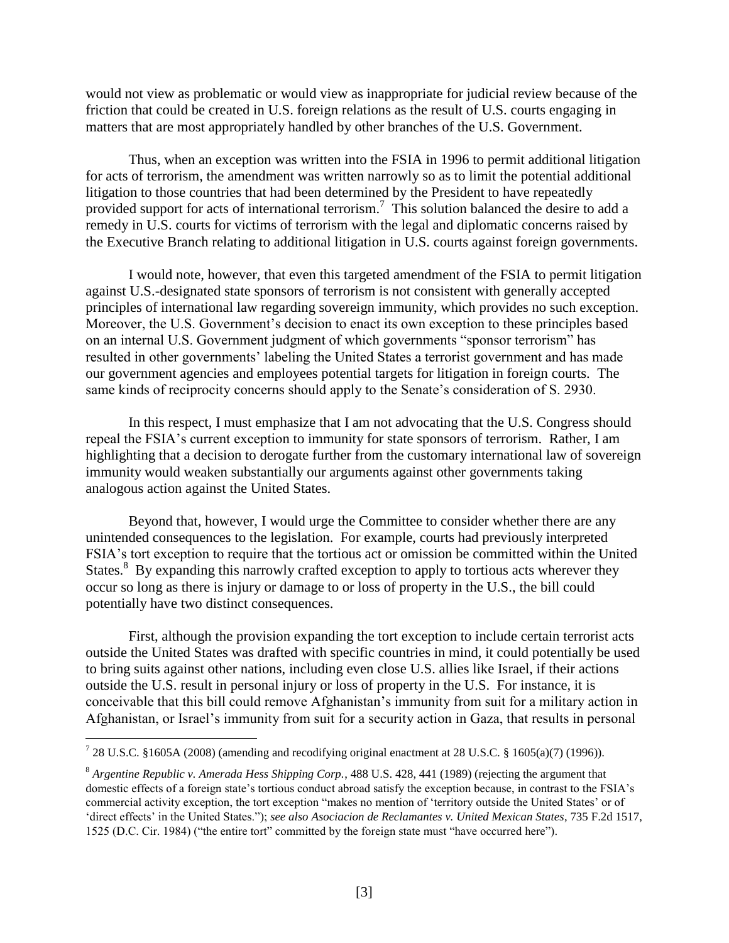would not view as problematic or would view as inappropriate for judicial review because of the friction that could be created in U.S. foreign relations as the result of U.S. courts engaging in matters that are most appropriately handled by other branches of the U.S. Government.

Thus, when an exception was written into the FSIA in 1996 to permit additional litigation for acts of terrorism, the amendment was written narrowly so as to limit the potential additional litigation to those countries that had been determined by the President to have repeatedly provided support for acts of international terrorism.<sup>7</sup> This solution balanced the desire to add a remedy in U.S. courts for victims of terrorism with the legal and diplomatic concerns raised by the Executive Branch relating to additional litigation in U.S. courts against foreign governments.

I would note, however, that even this targeted amendment of the FSIA to permit litigation against U.S.-designated state sponsors of terrorism is not consistent with generally accepted principles of international law regarding sovereign immunity, which provides no such exception. Moreover, the U.S. Government's decision to enact its own exception to these principles based on an internal U.S. Government judgment of which governments "sponsor terrorism" has resulted in other governments" labeling the United States a terrorist government and has made our government agencies and employees potential targets for litigation in foreign courts. The same kinds of reciprocity concerns should apply to the Senate's consideration of S. 2930.

In this respect, I must emphasize that I am not advocating that the U.S. Congress should repeal the FSIA"s current exception to immunity for state sponsors of terrorism. Rather, I am highlighting that a decision to derogate further from the customary international law of sovereign immunity would weaken substantially our arguments against other governments taking analogous action against the United States.

Beyond that, however, I would urge the Committee to consider whether there are any unintended consequences to the legislation. For example, courts had previously interpreted FSIA"s tort exception to require that the tortious act or omission be committed within the United States.<sup>8</sup> By expanding this narrowly crafted exception to apply to tortious acts wherever they occur so long as there is injury or damage to or loss of property in the U.S., the bill could potentially have two distinct consequences.

First, although the provision expanding the tort exception to include certain terrorist acts outside the United States was drafted with specific countries in mind, it could potentially be used to bring suits against other nations, including even close U.S. allies like Israel, if their actions outside the U.S. result in personal injury or loss of property in the U.S. For instance, it is conceivable that this bill could remove Afghanistan"s immunity from suit for a military action in Afghanistan, or Israel's immunity from suit for a security action in Gaza, that results in personal

<sup>&</sup>lt;sup>7</sup> 28 U.S.C. §1605A (2008) (amending and recodifying original enactment at 28 U.S.C. § 1605(a)(7) (1996)).

<sup>8</sup> *Argentine Republic v. Amerada Hess Shipping Corp.*, 488 U.S. 428, 441 (1989) (rejecting the argument that domestic effects of a foreign state's tortious conduct abroad satisfy the exception because, in contrast to the FSIA's commercial activity exception, the tort exception "makes no mention of "territory outside the United States" or of "direct effects" in the United States."); *see also Asociacion de Reclamantes v. United Mexican States*, 735 F.2d 1517, 1525 (D.C. Cir. 1984) ("the entire tort" committed by the foreign state must "have occurred here").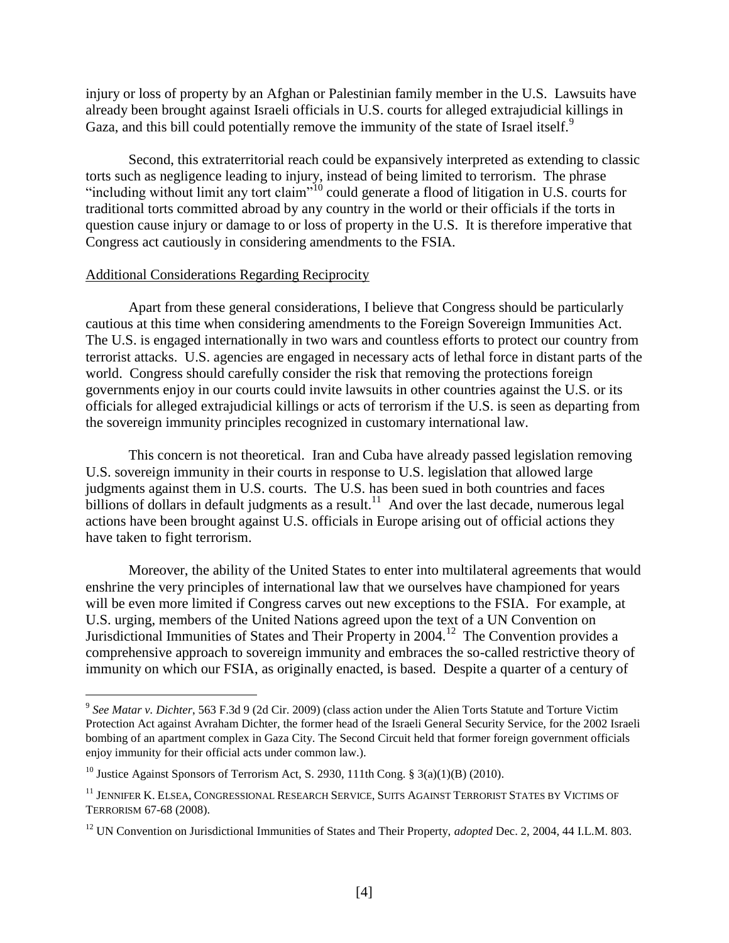injury or loss of property by an Afghan or Palestinian family member in the U.S. Lawsuits have already been brought against Israeli officials in U.S. courts for alleged extrajudicial killings in Gaza, and this bill could potentially remove the immunity of the state of Israel itself.<sup>9</sup>

Second, this extraterritorial reach could be expansively interpreted as extending to classic torts such as negligence leading to injury, instead of being limited to terrorism. The phrase "including without limit any tort claim"<sup>10</sup> could generate a flood of litigation in U.S. courts for traditional torts committed abroad by any country in the world or their officials if the torts in question cause injury or damage to or loss of property in the U.S. It is therefore imperative that Congress act cautiously in considering amendments to the FSIA.

## Additional Considerations Regarding Reciprocity

Apart from these general considerations, I believe that Congress should be particularly cautious at this time when considering amendments to the Foreign Sovereign Immunities Act. The U.S. is engaged internationally in two wars and countless efforts to protect our country from terrorist attacks. U.S. agencies are engaged in necessary acts of lethal force in distant parts of the world. Congress should carefully consider the risk that removing the protections foreign governments enjoy in our courts could invite lawsuits in other countries against the U.S. or its officials for alleged extrajudicial killings or acts of terrorism if the U.S. is seen as departing from the sovereign immunity principles recognized in customary international law.

This concern is not theoretical. Iran and Cuba have already passed legislation removing U.S. sovereign immunity in their courts in response to U.S. legislation that allowed large judgments against them in U.S. courts. The U.S. has been sued in both countries and faces billions of dollars in default judgments as a result.<sup>11</sup> And over the last decade, numerous legal actions have been brought against U.S. officials in Europe arising out of official actions they have taken to fight terrorism.

Moreover, the ability of the United States to enter into multilateral agreements that would enshrine the very principles of international law that we ourselves have championed for years will be even more limited if Congress carves out new exceptions to the FSIA. For example, at U.S. urging, members of the United Nations agreed upon the text of a UN Convention on Jurisdictional Immunities of States and Their Property in 2004.<sup>12</sup> The Convention provides a comprehensive approach to sovereign immunity and embraces the so-called restrictive theory of immunity on which our FSIA, as originally enacted, is based. Despite a quarter of a century of

<sup>9</sup> *See Matar v. Dichter*, 563 F.3d 9 (2d Cir. 2009) (class action under the Alien Torts Statute and Torture Victim Protection Act against Avraham Dichter, the former head of the Israeli General Security Service, for the 2002 Israeli bombing of an apartment complex in Gaza City. The Second Circuit held that former foreign government officials enjoy immunity for their official acts under common law.).

<sup>&</sup>lt;sup>10</sup> Justice Against Sponsors of Terrorism Act, S. 2930, 111th Cong. § 3(a)(1)(B) (2010).

<sup>11</sup> JENNIFER K. ELSEA, CONGRESSIONAL RESEARCH SERVICE, SUITS AGAINST TERRORIST STATES BY VICTIMS OF TERRORISM 67-68 (2008).

<sup>12</sup> UN Convention on Jurisdictional Immunities of States and Their Property, *adopted* Dec. 2, 2004, 44 I.L.M. 803.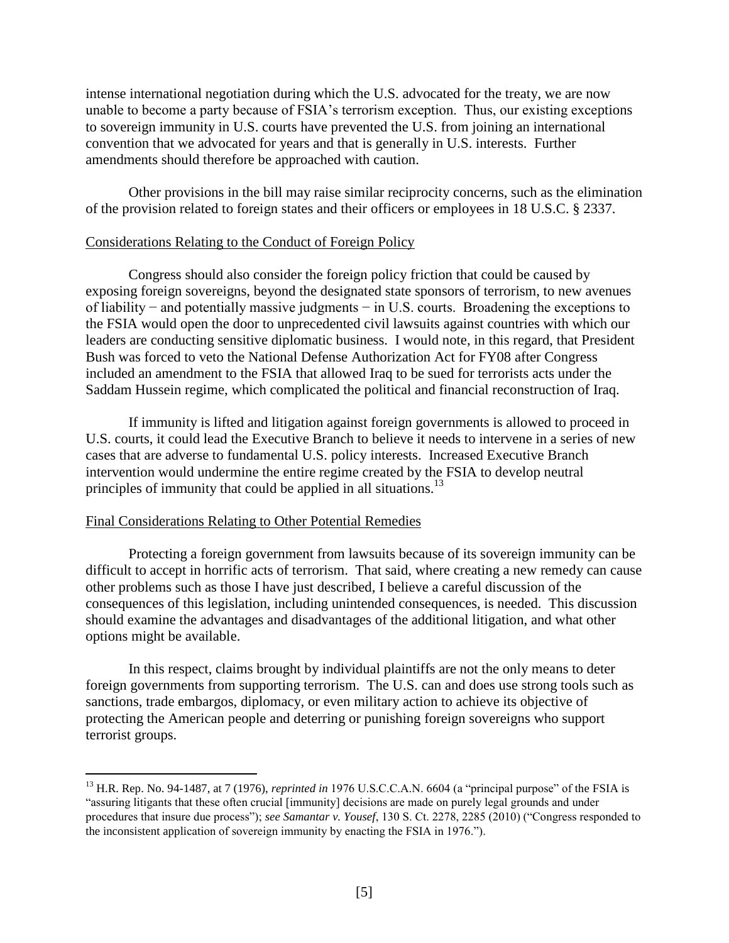intense international negotiation during which the U.S. advocated for the treaty, we are now unable to become a party because of FSIA"s terrorism exception. Thus, our existing exceptions to sovereign immunity in U.S. courts have prevented the U.S. from joining an international convention that we advocated for years and that is generally in U.S. interests. Further amendments should therefore be approached with caution.

Other provisions in the bill may raise similar reciprocity concerns, such as the elimination of the provision related to foreign states and their officers or employees in 18 U.S.C. § 2337.

## Considerations Relating to the Conduct of Foreign Policy

Congress should also consider the foreign policy friction that could be caused by exposing foreign sovereigns, beyond the designated state sponsors of terrorism, to new avenues of liability − and potentially massive judgments − in U.S. courts. Broadening the exceptions to the FSIA would open the door to unprecedented civil lawsuits against countries with which our leaders are conducting sensitive diplomatic business. I would note, in this regard, that President Bush was forced to veto the National Defense Authorization Act for FY08 after Congress included an amendment to the FSIA that allowed Iraq to be sued for terrorists acts under the Saddam Hussein regime, which complicated the political and financial reconstruction of Iraq.

If immunity is lifted and litigation against foreign governments is allowed to proceed in U.S. courts, it could lead the Executive Branch to believe it needs to intervene in a series of new cases that are adverse to fundamental U.S. policy interests. Increased Executive Branch intervention would undermine the entire regime created by the FSIA to develop neutral principles of immunity that could be applied in all situations.<sup>13</sup>

## Final Considerations Relating to Other Potential Remedies

 $\overline{a}$ 

Protecting a foreign government from lawsuits because of its sovereign immunity can be difficult to accept in horrific acts of terrorism. That said, where creating a new remedy can cause other problems such as those I have just described, I believe a careful discussion of the consequences of this legislation, including unintended consequences, is needed. This discussion should examine the advantages and disadvantages of the additional litigation, and what other options might be available.

In this respect, claims brought by individual plaintiffs are not the only means to deter foreign governments from supporting terrorism. The U.S. can and does use strong tools such as sanctions, trade embargos, diplomacy, or even military action to achieve its objective of protecting the American people and deterring or punishing foreign sovereigns who support terrorist groups.

<sup>&</sup>lt;sup>13</sup> H.R. Rep. No. 94-1487, at 7 (1976), *reprinted in* 1976 U.S.C.C.A.N. 6604 (a "principal purpose" of the FSIA is "assuring litigants that these often crucial [immunity] decisions are made on purely legal grounds and under procedures that insure due process"); *see Samantar v. Yousef*, 130 S. Ct. 2278, 2285 (2010) ("Congress responded to the inconsistent application of sovereign immunity by enacting the FSIA in 1976.").